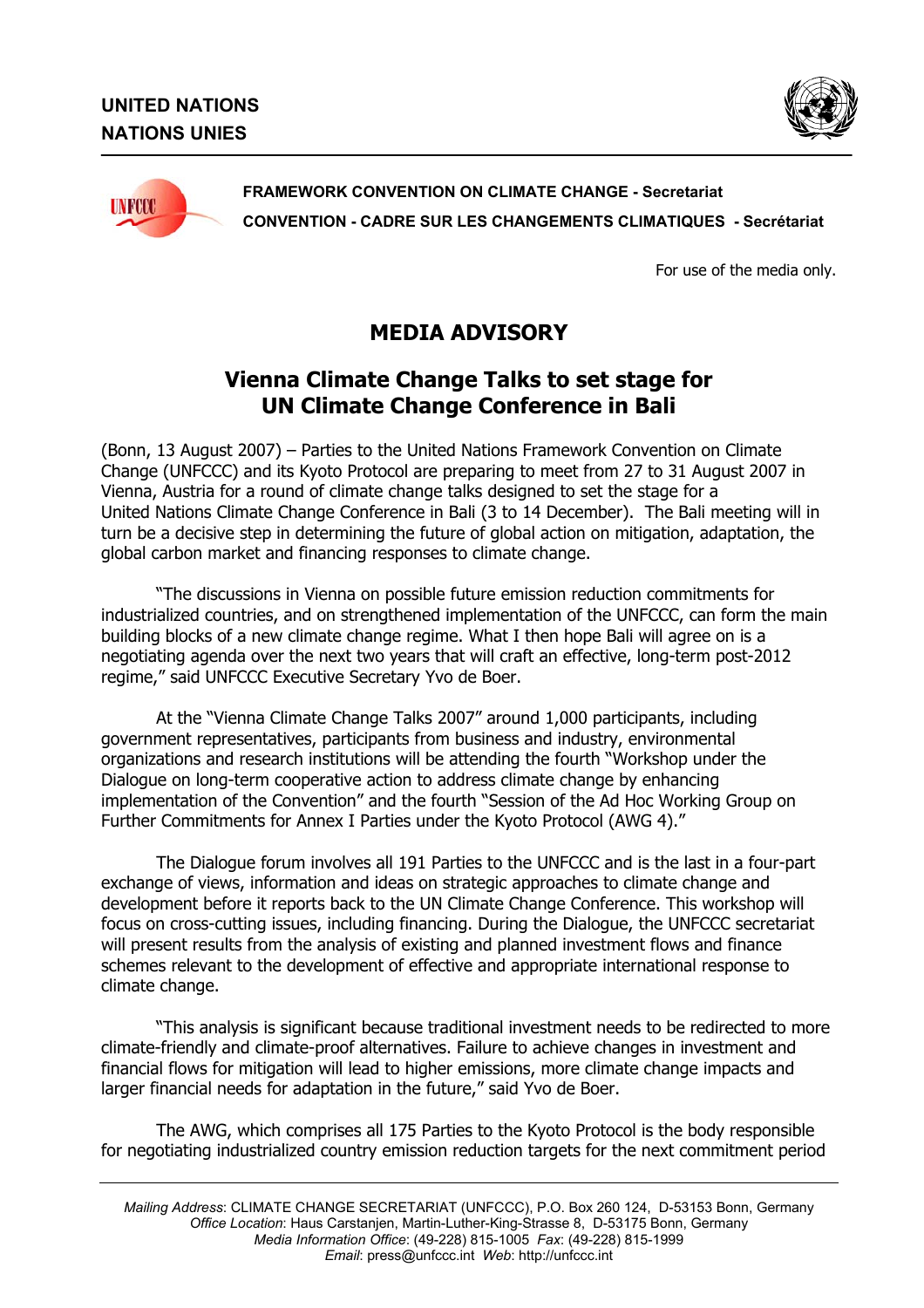



**FRAMEWORK CONVENTION ON CLIMATE CHANGE - Secretariat CONVENTION - CADRE SUR LES CHANGEMENTS CLIMATIQUES - Secrétariat** 

For use of the media only.

## **MEDIA ADVISORY**

## **Vienna Climate Change Talks to set stage for UN Climate Change Conference in Bali**

(Bonn, 13 August 2007) – Parties to the United Nations Framework Convention on Climate Change (UNFCCC) and its Kyoto Protocol are preparing to meet from 27 to 31 August 2007 in Vienna, Austria for a round of climate change talks designed to set the stage for a United Nations Climate Change Conference in Bali (3 to 14 December). The Bali meeting will in turn be a decisive step in determining the future of global action on mitigation, adaptation, the global carbon market and financing responses to climate change.

"The discussions in Vienna on possible future emission reduction commitments for industrialized countries, and on strengthened implementation of the UNFCCC, can form the main building blocks of a new climate change regime. What I then hope Bali will agree on is a negotiating agenda over the next two years that will craft an effective, long-term post-2012 regime," said UNFCCC Executive Secretary Yvo de Boer.

At the "Vienna Climate Change Talks 2007" around 1,000 participants, including government representatives, participants from business and industry, environmental organizations and research institutions will be attending the fourth "Workshop under the Dialogue on long-term cooperative action to address climate change by enhancing implementation of the Convention" and the fourth "Session of the Ad Hoc Working Group on Further Commitments for Annex I Parties under the Kyoto Protocol (AWG 4)."

The Dialogue forum involves all 191 Parties to the UNFCCC and is the last in a four-part exchange of views, information and ideas on strategic approaches to climate change and development before it reports back to the UN Climate Change Conference. This workshop will focus on cross-cutting issues, including financing. During the Dialogue, the UNFCCC secretariat will present results from the analysis of existing and planned investment flows and finance schemes relevant to the development of effective and appropriate international response to climate change.

"This analysis is significant because traditional investment needs to be redirected to more climate-friendly and climate-proof alternatives. Failure to achieve changes in investment and financial flows for mitigation will lead to higher emissions, more climate change impacts and larger financial needs for adaptation in the future," said Yvo de Boer.

The AWG, which comprises all 175 Parties to the Kyoto Protocol is the body responsible for negotiating industrialized country emission reduction targets for the next commitment period